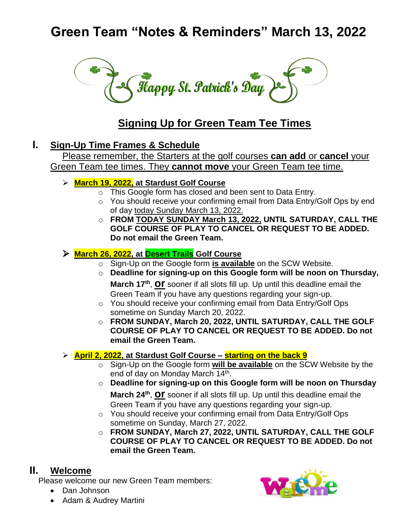# **Green Team "Notes & Reminders" March 13, 2022**



## **Signing Up for Green Team Tee Times**

## **I. Sign-Up Time Frames & Schedule**

Please remember, the Starters at the golf courses **can add** or **cancel** your Green Team tee times. They **cannot move** your Green Team tee time.

- ➢ **March 19, 2022, at Stardust Golf Course**
	- o This Google form has closed and been sent to Data Entry.
	- o You should receive your confirming email from Data Entry/Golf Ops by end of day today Sunday March 13, 2022.
	- o **FROM TODAY SUNDAY March 13, 2022, UNTIL SATURDAY, CALL THE GOLF COURSE OF PLAY TO CANCEL OR REQUEST TO BE ADDED. Do not email the Green Team.**

#### ➢ **March 26, 2022, at Desert Trails Golf Course**

- o Sign-Up on the Google form **is available** on the SCW Website.
- o **Deadline for signing-up on this Google form will be noon on Thursday, March 17th** , **or** sooner if all slots fill up. Up until this deadline email the Green Team if you have any questions regarding your sign-up.
- o You should receive your confirming email from Data Entry/Golf Ops sometime on Sunday March 20, 2022.
- o **FROM SUNDAY, March 20, 2022, UNTIL SATURDAY, CALL THE GOLF COURSE OF PLAY TO CANCEL OR REQUEST TO BE ADDED. Do not email the Green Team.**

#### ➢ **April 2, 2022, at Stardust Golf Course – starting on the back 9**

- o Sign-Up on the Google form **will be available** on the SCW Website by the end of day on Monday March 14<sup>th</sup>.
- o **Deadline for signing-up on this Google form will be noon on Thursday March 24th** , **or** sooner if all slots fill up. Up until this deadline email the Green Team if you have any questions regarding your sign-up.
- o You should receive your confirming email from Data Entry/Golf Ops sometime on Sunday, March 27, 2022.
- o **FROM SUNDAY, March 27, 2022, UNTIL SATURDAY, CALL THE GOLF COURSE OF PLAY TO CANCEL OR REQUEST TO BE ADDED. Do not email the Green Team.**

## **II. Welcome**

Please welcome our new Green Team members:

- Dan Johnson
- Adam & Audrey Martini

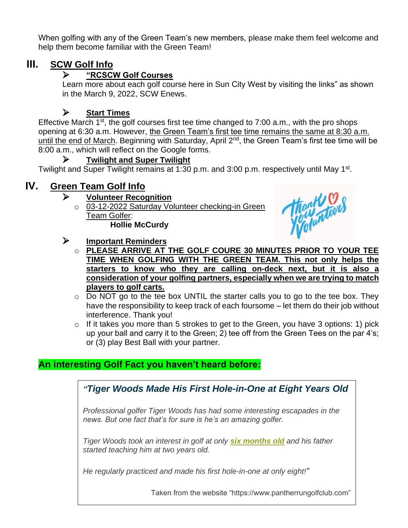When golfing with any of the Green Team's new members, please make them feel welcome and help them become familiar with the Green Team!

## **III. SCW Golf Info**

#### ➢ **"RCSCW Golf Courses**

Learn more about each golf course here in Sun City West by visiting the links" as shown in the March 9, 2022, SCW Enews.

## ➢ **Start Times**

Effective March 1<sup>st</sup>, the golf courses first tee time changed to 7:00 a.m., with the pro shops opening at 6:30 a.m. However, the Green Team's first tee time remains the same at 8:30 a.m. until the end of March. Beginning with Saturday, April 2<sup>nd</sup>, the Green Team's first tee time will be 8:00 a.m., which will reflect on the Google forms.

#### ➢ **Twilight and Super Twilight**

Twilight and Super Twilight remains at 1:30 p.m. and 3:00 p.m. respectively until May 1<sup>st</sup>.

## **IV. Green Team Golf Info**

#### ➢ **Volunteer Recognition**

o 03-12-2022 Saturday Volunteer checking-in Green Team Golfer: **Hollie McCurdy**



#### ➢ **Important Reminders**

- o **PLEASE ARRIVE AT THE GOLF COURE 30 MINUTES PRIOR TO YOUR TEE TIME WHEN GOLFING WITH THE GREEN TEAM. This not only helps the starters to know who they are calling on-deck next, but it is also a consideration of your golfing partners, especially when we are trying to match players to golf carts.**
- $\circ$  Do NOT go to the tee box UNTIL the starter calls you to go to the tee box. They have the responsibility to keep track of each foursome – let them do their job without interference. Thank you!
- $\circ$  If it takes you more than 5 strokes to get to the Green, you have 3 options: 1) pick up your ball and carry it to the Green; 2) tee off from the Green Tees on the par 4's; or (3) play Best Ball with your partner.

## **An interesting Golf Fact you haven't heard before:**

*"Tiger Woods Made His First Hole-in-One at Eight Years Old*

*Professional golfer Tiger Woods has had some interesting escapades in the news. But one fact that's for sure is he's an amazing golfer.*

*Tiger Woods took an interest in golf at only [six months old](https://www.kidzworld.com/article/4527-tiger-woods-biography) and his father started teaching him at two years old.*

*He regularly practiced and made his first hole-in-one at only eight!"*

Taken from the website "https://www.pantherrungolfclub.com"